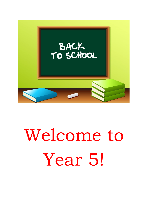

## Welcome to Year 5!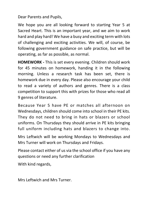Dear Parents and Pupils,

We hope you are all looking forward to starting Year 5 at Sacred Heart. This is an important year, and we aim to work hard and play hard! We have a busy and exciting term with lots of challenging and exciting activities. We will, of course, be following government guidance on safe practice, but will be operating, as far as possible, as normal.

**HOMEWORK -** This is set every evening. Children should work for 45 minutes on homework, handing it in the following morning. Unless a research task has been set, there is homework due in every day. Please also encourage your child to read a variety of authors and genres. There is a class competition to support this with prizes for those who read all 9 genres of literature.

Because Year 5 have PE or matches all afternoon on Wednesdays, children should come into school in their PE kits. They do not need to bring in hats or blazers or school uniforms. On Thursdays they should arrive in PE kits bringing full uniform including hats and blazers to change into.

Mrs Leftwich will be working Mondays to Wednesdays and Mrs Turner will work on Thursdays and Fridays.

Please contact either of us via the school office if you have any questions or need any further clarification

With kind regards,

Mrs Leftwich and Mrs Turner.